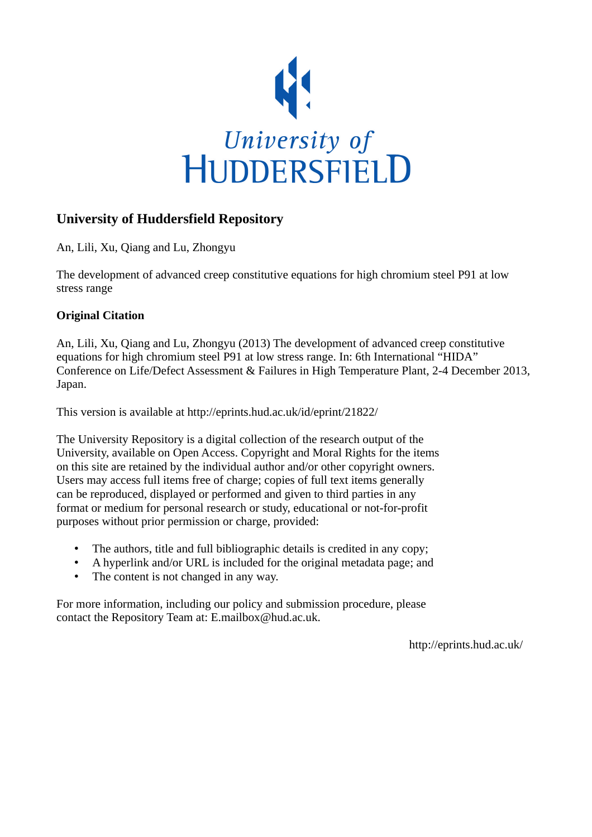

# **University of Huddersfield Repository**

An, Lili, Xu, Qiang and Lu, Zhongyu

The development of advanced creep constitutive equations for high chromium steel P91 at low stress range

# **Original Citation**

An, Lili, Xu, Qiang and Lu, Zhongyu (2013) The development of advanced creep constitutive equations for high chromium steel P91 at low stress range. In: 6th International "HIDA" Conference on Life/Defect Assessment & Failures in High Temperature Plant, 2-4 December 2013, Japan.

This version is available at http://eprints.hud.ac.uk/id/eprint/21822/

The University Repository is a digital collection of the research output of the University, available on Open Access. Copyright and Moral Rights for the items on this site are retained by the individual author and/or other copyright owners. Users may access full items free of charge; copies of full text items generally can be reproduced, displayed or performed and given to third parties in any format or medium for personal research or study, educational or not-for-profit purposes without prior permission or charge, provided:

- The authors, title and full bibliographic details is credited in any copy;
- A hyperlink and/or URL is included for the original metadata page; and
- The content is not changed in any way.

For more information, including our policy and submission procedure, please contact the Repository Team at: E.mailbox@hud.ac.uk.

http://eprints.hud.ac.uk/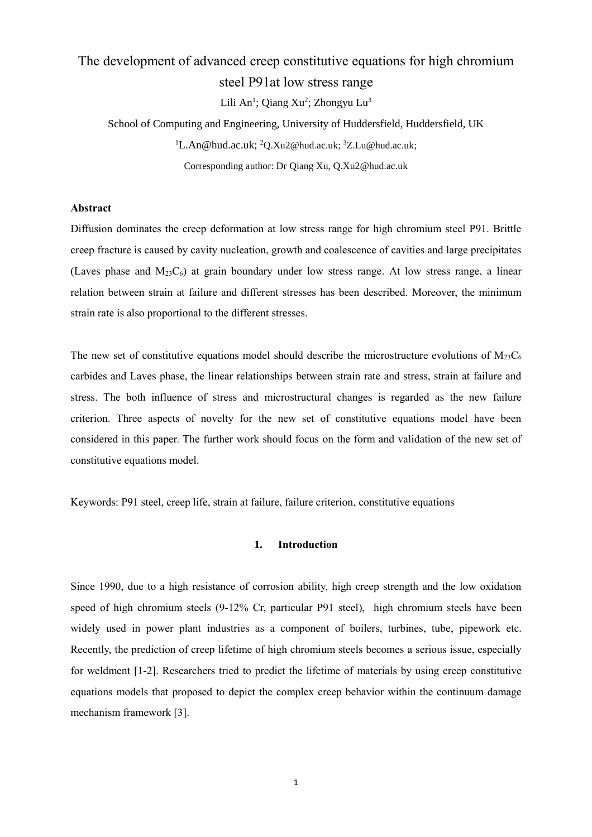# The development of advanced creep constitutive equations for high chromium steel P91at low stress range

Lili An<sup>1</sup>; Qiang Xu<sup>2</sup>; Zhongyu Lu<sup>3</sup>

School of Computing and Engineering, University of Huddersfield, Huddersfield, UK  ${}^{1}$ [L.An@hud.ac.uk;](mailto:L.An@hud.ac.uk)  ${}^{2}$ [Q.Xu2@hud.ac.uk;](mailto:Q.Xu2@hud.ac.uk)  ${}^{3}$ [Z.Lu@hud.ac.uk;](mailto:Z.Lu@hud.ac.uk) Corresponding author: Dr Qiang Xu, Q.Xu2@hud.ac.uk

#### **Abstract**

Diffusion dominates the creep deformation at low stress range for high chromium steel P91. Brittle creep fracture is caused by cavity nucleation, growth and coalescence of cavities and large precipitates (Laves phase and  $M_{23}C_6$ ) at grain boundary under low stress range. At low stress range, a linear relation between strain at failure and different stresses has been described. Moreover, the minimum strain rate is also proportional to the different stresses.

The new set of constitutive equations model should describe the microstructure evolutions of  $M_{23}C_6$ carbides and Laves phase, the linear relationships between strain rate and stress, strain at failure and stress. The both influence of stress and microstructural changes is regarded as the new failure criterion. Three aspects of novelty for the new set of constitutive equations model have been considered in this paper. The further work should focus on the form and validation of the new set of constitutive equations model.

Keywords: P91 steel, creep life, strain at failure, failure criterion, constitutive equations

# **1. Introduction**

Since 1990, due to a high resistance of corrosion ability, high creep strength and the low oxidation speed of high chromium steels (9-12% Cr, particular P91 steel), high chromium steels have been widely used in power plant industries as a component of boilers, turbines, tube, pipework etc. Recently, the prediction of creep lifetime of high chromium steels becomes a serious issue, especially for weldment [1-2]. Researchers tried to predict the lifetime of materials by using creep constitutive equations models that proposed to depict the complex creep behavior within the continuum damage mechanism framework [3].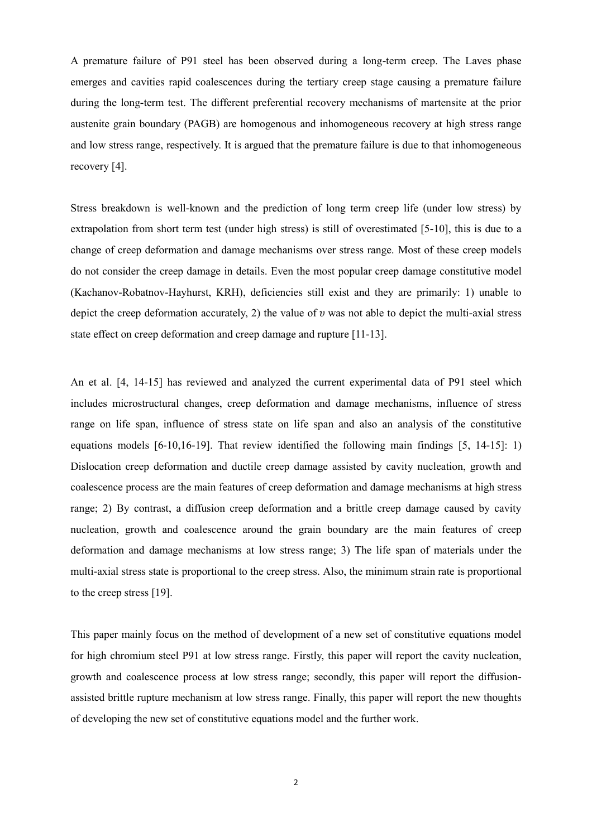A premature failure of P91 steel has been observed during a long-term creep. The Laves phase emerges and cavities rapid coalescences during the tertiary creep stage causing a premature failure during the long-term test. The different preferential recovery mechanisms of martensite at the prior austenite grain boundary (PAGB) are homogenous and inhomogeneous recovery at high stress range and low stress range, respectively. It is argued that the premature failure is due to that inhomogeneous recovery [4].

Stress breakdown is well-known and the prediction of long term creep life (under low stress) by extrapolation from short term test (under high stress) is still of overestimated [5-10], this is due to a change of creep deformation and damage mechanisms over stress range. Most of these creep models do not consider the creep damage in details. Even the most popular creep damage constitutive model (Kachanov-Robatnov-Hayhurst, KRH), deficiencies still exist and they are primarily: 1) unable to depict the creep deformation accurately, 2) the value of  $\nu$  was not able to depict the multi-axial stress state effect on creep deformation and creep damage and rupture [11-13].

An et al. [4, 14-15] has reviewed and analyzed the current experimental data of P91 steel which includes microstructural changes, creep deformation and damage mechanisms, influence of stress range on life span, influence of stress state on life span and also an analysis of the constitutive equations models [6-10,16-19]. That review identified the following main findings [5, 14-15]: 1) Dislocation creep deformation and ductile creep damage assisted by cavity nucleation, growth and coalescence process are the main features of creep deformation and damage mechanisms at high stress range; 2) By contrast, a diffusion creep deformation and a brittle creep damage caused by cavity nucleation, growth and coalescence around the grain boundary are the main features of creep deformation and damage mechanisms at low stress range; 3) The life span of materials under the multi-axial stress state is proportional to the creep stress. Also, the minimum strain rate is proportional to the creep stress [19].

This paper mainly focus on the method of development of a new set of constitutive equations model for high chromium steel P91 at low stress range. Firstly, this paper will report the cavity nucleation, growth and coalescence process at low stress range; secondly, this paper will report the diffusionassisted brittle rupture mechanism at low stress range. Finally, this paper will report the new thoughts of developing the new set of constitutive equations model and the further work.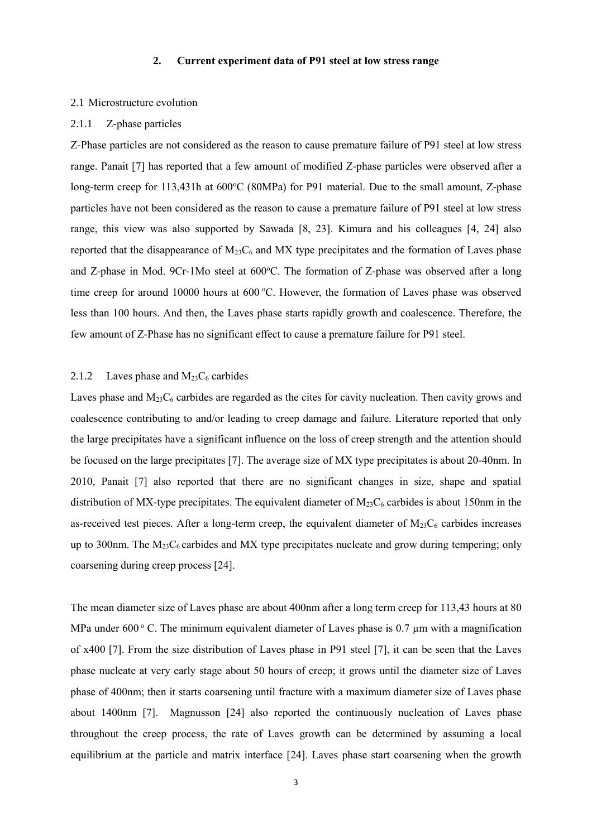#### **2. Current experiment data of P91 steel at low stress range**

#### 2.1 Microstructure evolution

#### 2.1.1 Z-phase particles

Z-Phase particles are not considered as the reason to cause premature failure of P91 steel at low stress range. Panait [7] has reported that a few amount of modified Z-phase particles were observed after a long-term creep for 113,431h at 600 °C (80MPa) for P91 material. Due to the small amount, Z-phase particles have not been considered as the reason to cause a premature failure of P91 steel at low stress range, this view was also supported by Sawada [8, 23]. Kimura and his colleagues [4, 24] also reported that the disappearance of  $M_{23}C_6$  and MX type precipitates and the formation of Laves phase and Z-phase in Mod. 9Cr-1Mo steel at 600°C. The formation of Z-phase was observed after a long time creep for around 10000 hours at 600 °C. However, the formation of Laves phase was observed less than 100 hours. And then, the Laves phase starts rapidly growth and coalescence. Therefore, the few amount of Z-Phase has no significant effect to cause a premature failure for P91 steel.

# 2.1.2 Laves phase and  $M_{23}C_6$  carbides

Laves phase and  $M_{23}C_6$  carbides are regarded as the cites for cavity nucleation. Then cavity grows and coalescence contributing to and/or leading to creep damage and failure. Literature reported that only the large precipitates have a significant influence on the loss of creep strength and the attention should be focused on the large precipitates [7]. The average size of MX type precipitates is about 20-40nm. In 2010, Panait [7] also reported that there are no significant changes in size, shape and spatial distribution of MX-type precipitates. The equivalent diameter of  $M_{23}C_6$  carbides is about 150nm in the as-received test pieces. After a long-term creep, the equivalent diameter of  $M_{23}C_6$  carbides increases up to 300nm. The  $M_{23}C_6$  carbides and MX type precipitates nucleate and grow during tempering; only coarsening during creep process [24].

The mean diameter size of Laves phase are about 400nm after a long term creep for 113,43 hours at 80 MPa under 600 $\degree$  C. The minimum equivalent diameter of Laves phase is 0.7  $\mu$ m with a magnification of x400 [7]. From the size distribution of Laves phase in P91 steel [7], it can be seen that the Laves phase nucleate at very early stage about 50 hours of creep; it grows until the diameter size of Laves phase of 400nm; then it starts coarsening until fracture with a maximum diameter size of Laves phase about 1400nm [7]. Magnusson [24] also reported the continuously nucleation of Laves phase throughout the creep process, the rate of Laves growth can be determined by assuming a local equilibrium at the particle and matrix interface [24]. Laves phase start coarsening when the growth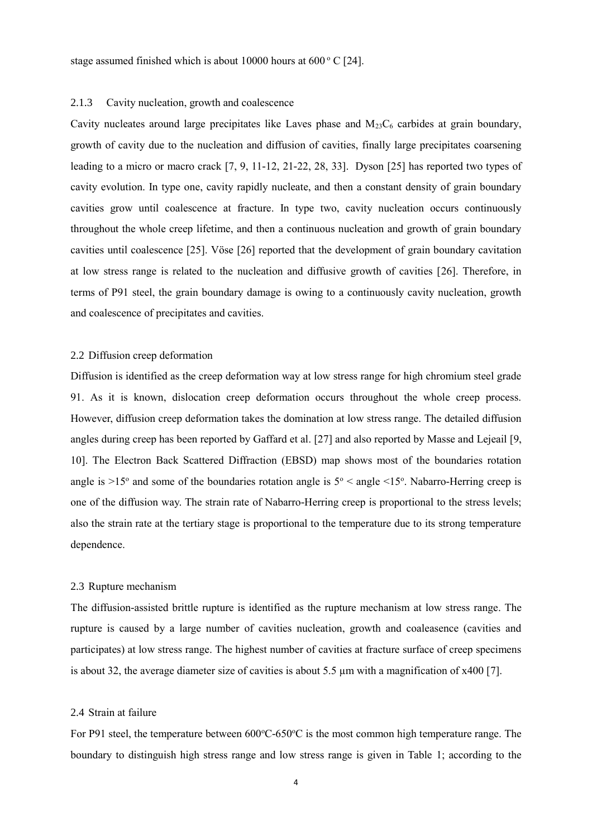#### 2.1.3 Cavity nucleation, growth and coalescence

Cavity nucleates around large precipitates like Laves phase and  $M_{23}C_6$  carbides at grain boundary, growth of cavity due to the nucleation and diffusion of cavities, finally large precipitates coarsening leading to a micro or macro crack [7, 9, 11-12, 21-22, 28, 33]. Dyson [25] has reported two types of cavity evolution. In type one, cavity rapidly nucleate, and then a constant density of grain boundary cavities grow until coalescence at fracture. In type two, cavity nucleation occurs continuously throughout the whole creep lifetime, and then a continuous nucleation and growth of grain boundary cavities until coalescence [25]. Vöse [26] reported that the development of grain boundary cavitation at low stress range is related to the nucleation and diffusive growth of cavities [26]. Therefore, in terms of P91 steel, the grain boundary damage is owing to a continuously cavity nucleation, growth and coalescence of precipitates and cavities.

# 2.2 Diffusion creep deformation

Diffusion is identified as the creep deformation way at low stress range for high chromium steel grade 91. As it is known, dislocation creep deformation occurs throughout the whole creep process. However, diffusion creep deformation takes the domination at low stress range. The detailed diffusion angles during creep has been reported by Gaffard et al. [27] and also reported by Masse and Lejeail [9, 10]. The Electron Back Scattered Diffraction (EBSD) map shows most of the boundaries rotation angle is  $>15^{\circ}$  and some of the boundaries rotation angle is  $5^{\circ}$  < angle <15°. Nabarro-Herring creep is one of the diffusion way. The strain rate of Nabarro-Herring creep is proportional to the stress levels; also the strain rate at the tertiary stage is proportional to the temperature due to its strong temperature dependence.

# 2.3 Rupture mechanism

The diffusion-assisted brittle rupture is identified as the rupture mechanism at low stress range. The rupture is caused by a large number of cavities nucleation, growth and coaleasence (cavities and participates) at low stress range. The highest number of cavities at fracture surface of creep specimens is about 32, the average diameter size of cavities is about 5.5  $\mu$ m with a magnification of x400 [7].

# 2.4 Strain at failure

For P91 steel, the temperature between 600°C-650°C is the most common high temperature range. The boundary to distinguish high stress range and low stress range is given in Table 1; according to the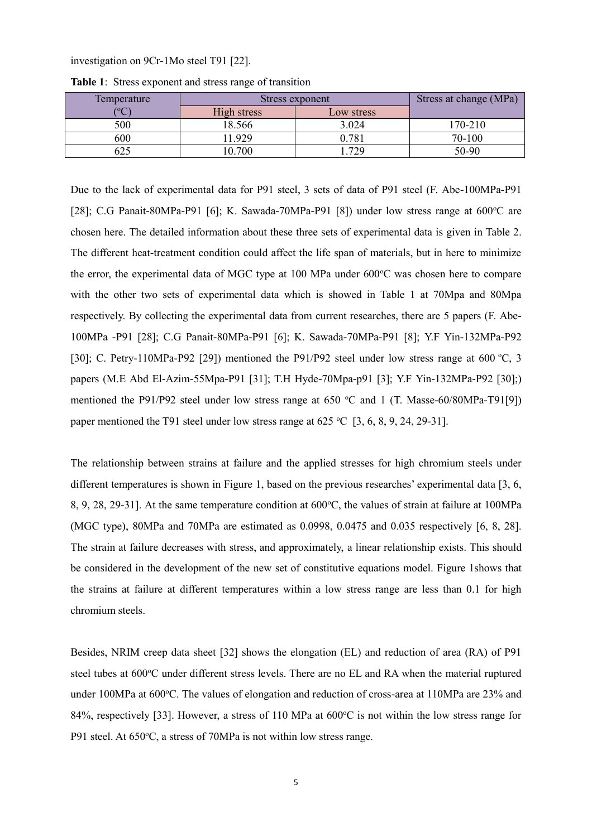#### investigation on 9Cr-1Mo steel T91 [22].

| Temperature | Stress exponent |            | Stress at change (MPa) |
|-------------|-----------------|------------|------------------------|
| $\sim$      | High stress     | Low stress |                        |
| 500         | 18.566          | 3.024      | 170-210                |
| 600         | .929            | 0.781      | 70-100                 |
|             | 10.700          | .729       | 50-90                  |

**Table 1**: Stress exponent and stress range of transition

Due to the lack of experimental data for P91 steel, 3 sets of data of P91 steel (F. Abe-100MPa-P91 [28]; C.G Panait-80MPa-P91 [6]; K. Sawada-70MPa-P91 [8]) under low stress range at  $600^{\circ}$ C are chosen here. The detailed information about these three sets of experimental data is given in Table 2. The different heat-treatment condition could affect the life span of materials, but in here to minimize the error, the experimental data of MGC type at 100 MPa under 600°C was chosen here to compare with the other two sets of experimental data which is showed in Table 1 at 70Mpa and 80Mpa respectively. By collecting the experimental data from current researches, there are 5 papers (F. Abe-100MPa -P91 [28]; C.G Panait-80MPa-P91 [6]; K. Sawada-70MPa-P91 [8]; Y.F Yin-132MPa-P92 [30]; C. Petry-110MPa-P92 [29]) mentioned the P91/P92 steel under low stress range at 600 °C, 3 papers (M.E Abd El-Azim-55Mpa-P91 [31]; T.H Hyde-70Mpa-p91 [3]; Y.F Yin-132MPa-P92 [30];) mentioned the P91/P92 steel under low stress range at 650 °C and 1 (T. Masse-60/80MPa-T91[9]) paper mentioned the T91 steel under low stress range at 625  $\degree$ C [3, 6, 8, 9, 24, 29-31].

The relationship between strains at failure and the applied stresses for high chromium steels under different temperatures is shown in Figure 1, based on the previous researches' experimental data [3, 6, 8, 9, 28, 29-31]. At the same temperature condition at 600°C, the values of strain at failure at 100MPa (MGC type), 80MPa and 70MPa are estimated as 0.0998, 0.0475 and 0.035 respectively [6, 8, 28]. The strain at failure decreases with stress, and approximately, a linear relationship exists. This should be considered in the development of the new set of constitutive equations model. Figure 1shows that the strains at failure at different temperatures within a low stress range are less than 0.1 for high chromium steels.

Besides, NRIM creep data sheet [32] shows the elongation (EL) and reduction of area (RA) of P91 steel tubes at 600°C under different stress levels. There are no EL and RA when the material ruptured under 100MPa at 600 $\degree$ C. The values of elongation and reduction of cross-area at 110MPa are 23% and 84%, respectively [33]. However, a stress of 110 MPa at 600°C is not within the low stress range for P91 steel. At 650°C, a stress of 70MPa is not within low stress range.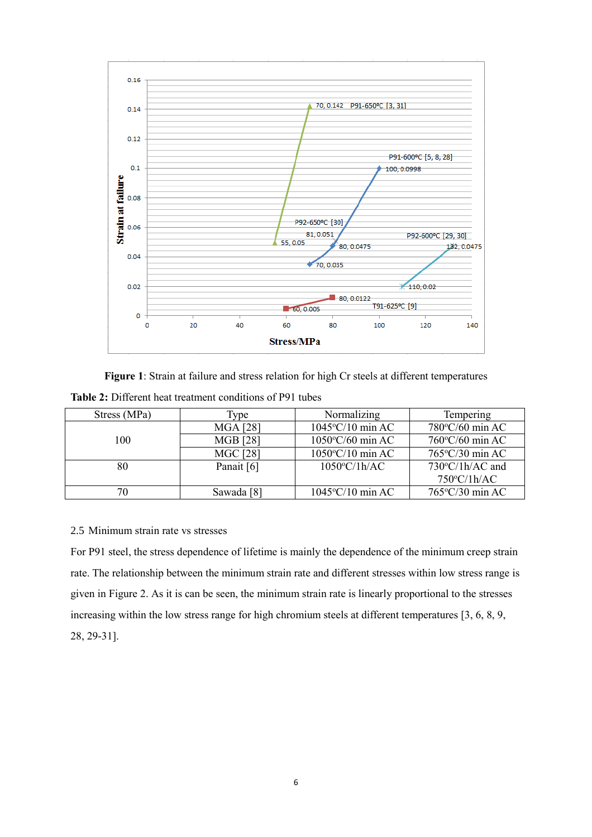

**Figure 1**: Strain at failure and stress relation for high Cr steels at different temperatures **Table 2:** Different heat treatment conditions of P91 tubes

| Stress (MPa) | l vpe           | Normalizing<br>Tempering      |                           |
|--------------|-----------------|-------------------------------|---------------------------|
|              | <b>MGA [28]</b> | $1045\textdegree C/10$ min AC | 780°C/60 min AC           |
| 100          | <b>MGB</b> [28] |                               | $760^{\circ}$ C/60 min AC |
|              | <b>MGC</b> [28] | $1050^{\circ}$ C/10 min AC    | 765°C/30 min AC           |
| 80           | Panait [6]      | $1050^{\circ}$ C/1h/AC        | $730^{\circ}$ C/1h/AC and |
|              |                 |                               | $750^{\circ}$ C/1h/AC     |
| 70           | Sawada [8]      | $1045\textdegree C/10$ min AC | $765^{\circ}$ C/30 min AC |

# 2.5 Minimum strain rate vs stresses

For P91 steel, the stress dependence of lifetime is mainly the dependence of the minimum creep strain rate. The relationship between the minimum strain rate and different stresses within low stress range is given in Figure 2. As it is can be seen, the minimum strain rate is linearly proportional to the stresses increasing within the low stress range for high chromium steels at different temperatures [3, 6, 8, 9, 28, 29-31].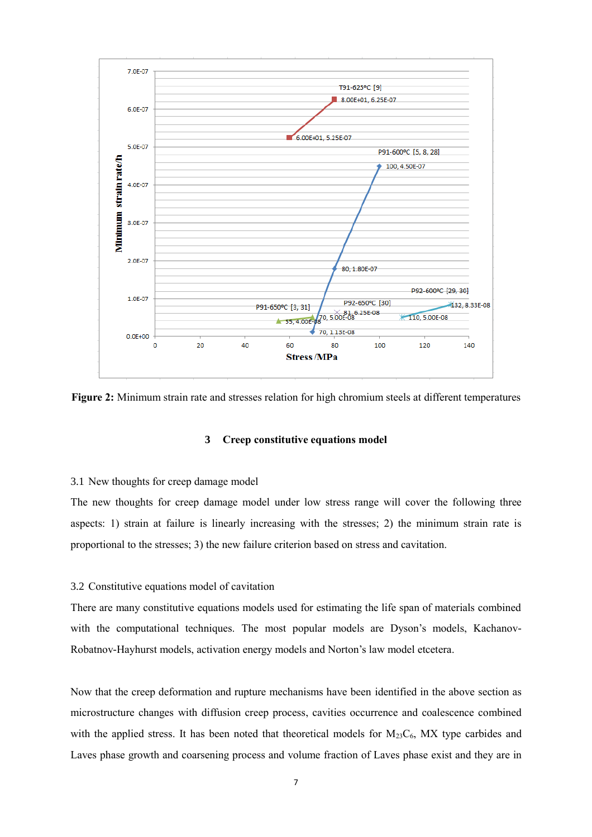

**Figure 2:** Minimum strain rate and stresses relation for high chromium steels at different temperatures

# **3 Creep constitutive equations model**

#### 3.1 New thoughts for creep damage model

The new thoughts for creep damage model under low stress range will cover the following three aspects: 1) strain at failure is linearly increasing with the stresses; 2) the minimum strain rate is proportional to the stresses; 3) the new failure criterion based on stress and cavitation.

# 3.2 Constitutive equations model of cavitation

There are many constitutive equations models used for estimating the life span of materials combined with the computational techniques. The most popular models are Dyson's models, Kachanov-Robatnov-Hayhurst models, activation energy models and Norton's law model etcetera.

Now that the creep deformation and rupture mechanisms have been identified in the above section as microstructure changes with diffusion creep process, cavities occurrence and coalescence combined with the applied stress. It has been noted that theoretical models for  $M_{23}C_6$ , MX type carbides and Laves phase growth and coarsening process and volume fraction of Laves phase exist and they are in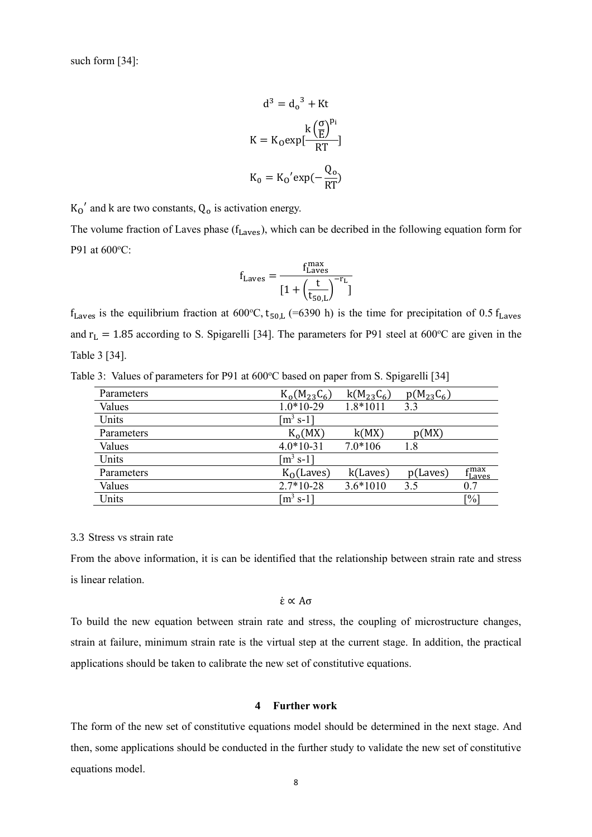such form [34]:

$$
d^{3} = d_{o}^{3} + Kt
$$

$$
K = K_{0} exp[\frac{k(\frac{\sigma}{E})^{p_{i}}}{RT}]
$$

$$
K_{0} = K_{0}' exp(-\frac{Q_{o}}{RT})
$$

 $K_0'$  and k are two constants,  $Q_0$  is activation energy.

The volume fraction of Laves phase  $(f_{\text{Laves}})$ , which can be decribed in the following equation form for P91 at 600°C:

$$
f_{\text{Laves}} = \frac{f_{\text{Laves}}^{\text{max}}}{[1 + \left(\frac{t}{t_{50,L}}\right)^{-r_{\text{L}}}}]
$$

 $f_{\text{Laves}}$  is the equilibrium fraction at 600°C,  $t_{50,L}$  (=6390 h) is the time for precipitation of 0.5  $f_{\text{Laves}}$ and  $r_L = 1.85$  according to S. Spigarelli [34]. The parameters for P91 steel at 600°C are given in the Table 3 [34].

Table 3: Values of parameters for P91 at 600°C based on paper from S. Spigarelli [34]

| Parameters | $K_0(M_{23}C_6)$                      | $k(M_{23}C_6)$ | $p(M_{23}C_6)$ |                                      |
|------------|---------------------------------------|----------------|----------------|--------------------------------------|
| Values     | $1.0*10-29$                           | 1.8*1011       | 3.3            |                                      |
| Units      | $\lceil m^3 s - 1 \rceil$             |                |                |                                      |
| Parameters | $K_0(MX)$                             | k(MX)          | p(MX)          |                                      |
| Values     | $4.0*10-31$                           | $7.0*106$      | 1.8            |                                      |
| Units      | $\left[\text{m}^3 \text{ s-1}\right]$ |                |                |                                      |
| Parameters | $K_0$ (Laves)                         | k(Laves)       | p(Laves)       | $\epsilon$ max<br><sup>1</sup> Laves |
| Values     | $2.7*10-28$                           | $3.6*1010$     | 3.5            | 0.7                                  |
| Units      | $\lceil m^3 s - 1 \rceil$             |                |                | $[\%]$                               |

## 3.3 Stress vs strain rate

From the above information, it is can be identified that the relationship between strain rate and stress is linear relation.

```
ε̇ ∝ Aσ
```
To build the new equation between strain rate and stress, the coupling of microstructure changes, strain at failure, minimum strain rate is the virtual step at the current stage. In addition, the practical applications should be taken to calibrate the new set of constitutive equations.

#### **4 Further work**

The form of the new set of constitutive equations model should be determined in the next stage. And then, some applications should be conducted in the further study to validate the new set of constitutive equations model.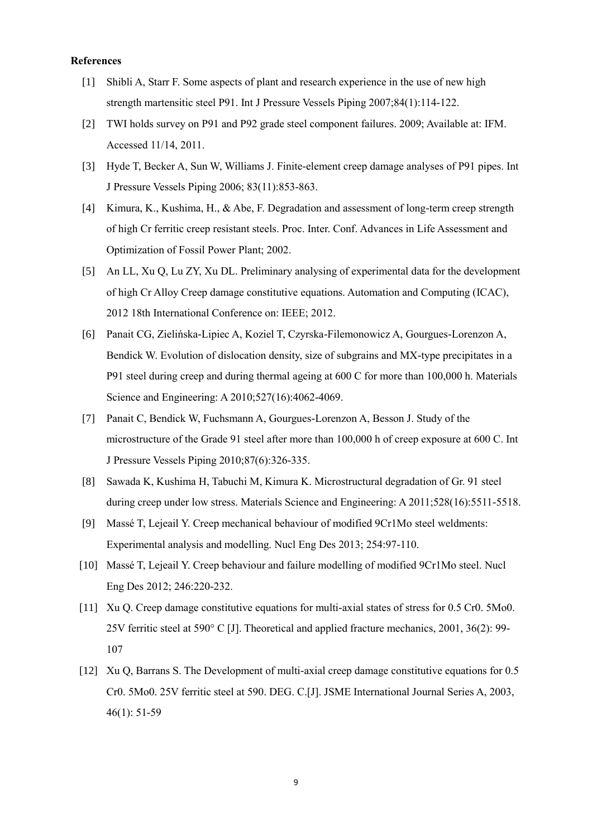#### **References**

- [1] Shibli A, Starr F. Some aspects of plant and research experience in the use of new high strength martensitic steel P91. Int J Pressure Vessels Piping 2007;84(1):114-122.
- [2] TWI holds survey on P91 and P92 grade steel component failures. 2009; Available at: IFM. Accessed 11/14, 2011.
- [3] Hyde T, Becker A, Sun W, Williams J. Finite-element creep damage analyses of P91 pipes. Int J Pressure Vessels Piping 2006; 83(11):853-863.
- [4] Kimura, K., Kushima, H., & Abe, F. Degradation and assessment of long-term creep strength of high Cr ferritic creep resistant steels. Proc. Inter. Conf. Advances in Life Assessment and Optimization of Fossil Power Plant; 2002.
- [5] An LL, Xu Q, Lu ZY, Xu DL. Preliminary analysing of experimental data for the development of high Cr Alloy Creep damage constitutive equations. Automation and Computing (ICAC), 2012 18th International Conference on: IEEE; 2012.
- [6] Panait CG, Zielińska-Lipiec A, Koziel T, Czyrska-Filemonowicz A, Gourgues-Lorenzon A, Bendick W. Evolution of dislocation density, size of subgrains and MX-type precipitates in a P91 steel during creep and during thermal ageing at 600 C for more than 100,000 h. Materials Science and Engineering: A 2010;527(16):4062-4069.
- [7] Panait C, Bendick W, Fuchsmann A, Gourgues-Lorenzon A, Besson J. Study of the microstructure of the Grade 91 steel after more than 100,000 h of creep exposure at 600 C. Int J Pressure Vessels Piping 2010;87(6):326-335.
- [8] Sawada K, Kushima H, Tabuchi M, Kimura K. Microstructural degradation of Gr. 91 steel during creep under low stress. Materials Science and Engineering: A 2011;528(16):5511-5518.
- [9] Massé T, Lejeail Y. Creep mechanical behaviour of modified 9Cr1Mo steel weldments: Experimental analysis and modelling. Nucl Eng Des 2013; 254:97-110.
- [10] Massé T, Lejeail Y. Creep behaviour and failure modelling of modified 9Cr1Mo steel. Nucl Eng Des 2012; 246:220-232.
- [11] Xu Q. Creep damage constitutive equations for multi-axial states of stress for 0.5 Cr0. 5Mo0. 25V ferritic steel at 590° C [J]. Theoretical and applied fracture mechanics, 2001, 36(2): 99- 107
- [12] Xu Q, Barrans S. The Development of multi-axial creep damage constitutive equations for 0.5 Cr0. 5Mo0. 25V ferritic steel at 590. DEG. C.[J]. JSME International Journal Series A, 2003, 46(1): 51-59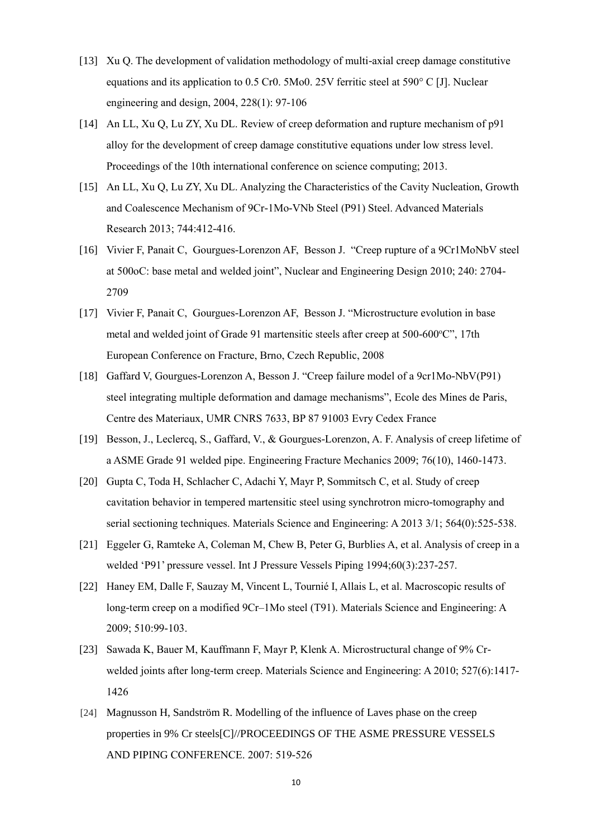- [13] Xu Q. The development of validation methodology of multi-axial creep damage constitutive equations and its application to 0.5 Cr0. 5Mo0. 25V ferritic steel at 590° C [J]. Nuclear engineering and design, 2004, 228(1): 97-106
- [14] An LL, Xu Q, Lu ZY, Xu DL. Review of creep deformation and rupture mechanism of p91 alloy for the development of creep damage constitutive equations under low stress level. Proceedings of the 10th international conference on science computing; 2013.
- [15] An LL, Xu Q, Lu ZY, Xu DL. Analyzing the Characteristics of the Cavity Nucleation, Growth and Coalescence Mechanism of 9Cr-1Mo-VNb Steel (P91) Steel. Advanced Materials Research 2013; 744:412-416.
- [16] Vivier F, Panait C, Gourgues-Lorenzon AF, Besson J. "Creep rupture of a 9Cr1MoNbV steel at 500oC: base metal and welded joint", Nuclear and Engineering Design 2010; 240: 2704- 2709
- [17] Vivier F, Panait C, Gourgues-Lorenzon AF, Besson J. "Microstructure evolution in base metal and welded joint of Grade 91 martensitic steels after creep at  $500-600^{\circ}$ C", 17th European Conference on Fracture, Brno, Czech Republic, 2008
- [18] Gaffard V, Gourgues-Lorenzon A, Besson J. "Creep failure model of a 9cr1Mo-NbV(P91) steel integrating multiple deformation and damage mechanisms", Ecole des Mines de Paris, Centre des Materiaux, UMR CNRS 7633, BP 87 91003 Evry Cedex France
- [19] Besson, J., Leclercq, S., Gaffard, V., & Gourgues-Lorenzon, A. F. Analysis of creep lifetime of a ASME Grade 91 welded pipe. Engineering Fracture Mechanics 2009; 76(10), 1460-1473.
- [20] Gupta C, Toda H, Schlacher C, Adachi Y, Mayr P, Sommitsch C, et al. Study of creep cavitation behavior in tempered martensitic steel using synchrotron micro-tomography and serial sectioning techniques. Materials Science and Engineering: A 2013 3/1; 564(0):525-538.
- [21] Eggeler G, Ramteke A, Coleman M, Chew B, Peter G, Burblies A, et al. Analysis of creep in a welded 'P91' pressure vessel. Int J Pressure Vessels Piping 1994;60(3):237-257.
- [22] Haney EM, Dalle F, Sauzay M, Vincent L, Tournié I, Allais L, et al. Macroscopic results of long-term creep on a modified 9Cr–1Mo steel (T91). Materials Science and Engineering: A 2009; 510:99-103.
- [23] Sawada K, Bauer M, Kauffmann F, Mayr P, Klenk A. Microstructural change of 9% Crwelded joints after long-term creep. Materials Science and Engineering: A 2010; 527(6):1417- 1426
- [24] Magnusson H, Sandström R. Modelling of the influence of Laves phase on the creep properties in 9% Cr steels[C]//PROCEEDINGS OF THE ASME PRESSURE VESSELS AND PIPING CONFERENCE. 2007: 519-526